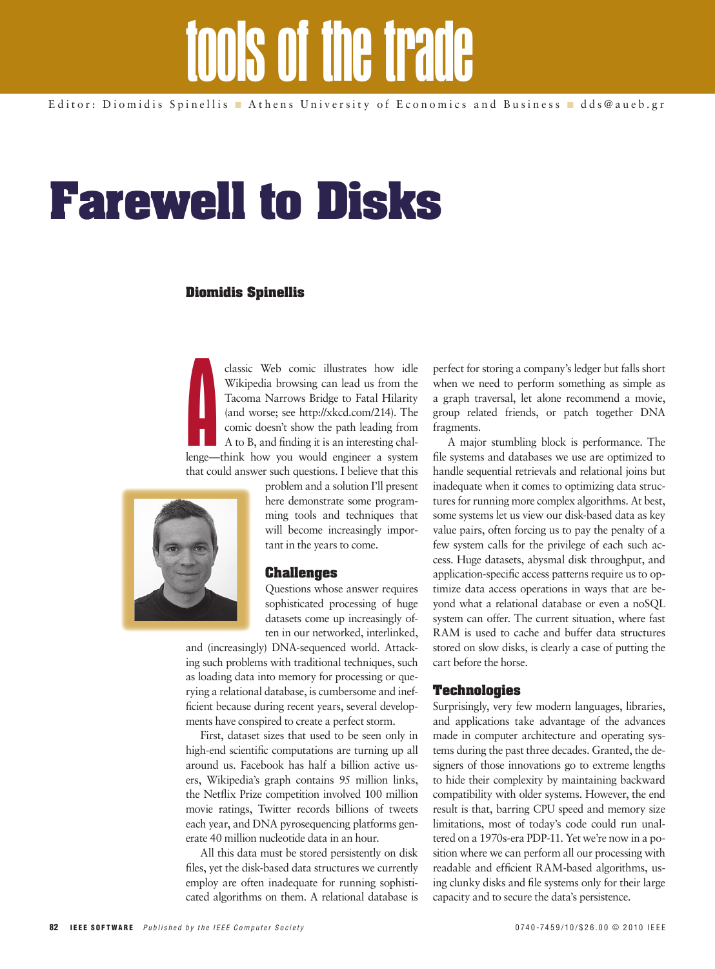# tools of the trade

## **Farewell to Disks**

### **Diomidis Spinellis**

classic Web comic illustrates how idle<br>Wikipedia browsing can lead us from the<br>Tacoma Narrows Bridge to Fatal Hilarity<br>(and worse; see http://xkcd.com/214). The<br>comic doesn't show the path leading from<br>A to B, and finding Wikipedia browsing can lead us from the Tacoma Narrows Bridge to Fatal Hilarity (and worse; see http://xkcd.com/214). The comic doesn't show the path leading from A to B, and finding it is an interesting challenge—think how you would engineer a system that could answer such questions. I believe that this



problem and a solution I'll present here demonstrate some programming tools and techniques that will become increasingly important in the years to come.

#### **Challenges**

Questions whose answer requires sophisticated processing of huge datasets come up increasingly often in our networked, interlinked,

and (increasingly) DNA-sequenced world. Attacking such problems with traditional techniques, such as loading data into memory for processing or querying a relational database, is cumbersome and inefficient because during recent years, several developments have conspired to create a perfect storm.

First, dataset sizes that used to be seen only in high-end scientific computations are turning up all around us. Facebook has half a billion active users, Wikipedia's graph contains 95 million links, the Netflix Prize competition involved 100 million movie ratings, Twitter records billions of tweets each year, and DNA pyrosequencing platforms generate 40 million nucleotide data in an hour.

All this data must be stored persistently on disk files, yet the disk-based data structures we currently employ are often inadequate for running sophisticated algorithms on them. A relational database is

perfect for storing a company's ledger but falls short when we need to perform something as simple as a graph traversal, let alone recommend a movie, group related friends, or patch together DNA fragments.

A major stumbling block is performance. The file systems and databases we use are optimized to handle sequential retrievals and relational joins but inadequate when it comes to optimizing data structures for running more complex algorithms. At best, some systems let us view our disk-based data as key value pairs, often forcing us to pay the penalty of a few system calls for the privilege of each such access. Huge datasets, abysmal disk throughput, and application-specific access patterns require us to optimize data access operations in ways that are beyond what a relational database or even a noSQL system can offer. The current situation, where fast RAM is used to cache and buffer data structures stored on slow disks, is clearly a case of putting the cart before the horse.

#### **Technologies**

Surprisingly, very few modern languages, libraries, and applications take advantage of the advances made in computer architecture and operating systems during the past three decades. Granted, the designers of those innovations go to extreme lengths to hide their complexity by maintaining backward compatibility with older systems. However, the end result is that, barring CPU speed and memory size limitations, most of today's code could run unaltered on a 1970s-era PDP-11. Yet we're now in a position where we can perform all our processing with readable and efficient RAM-based algorithms, using clunky disks and file systems only for their large capacity and to secure the data's persistence.